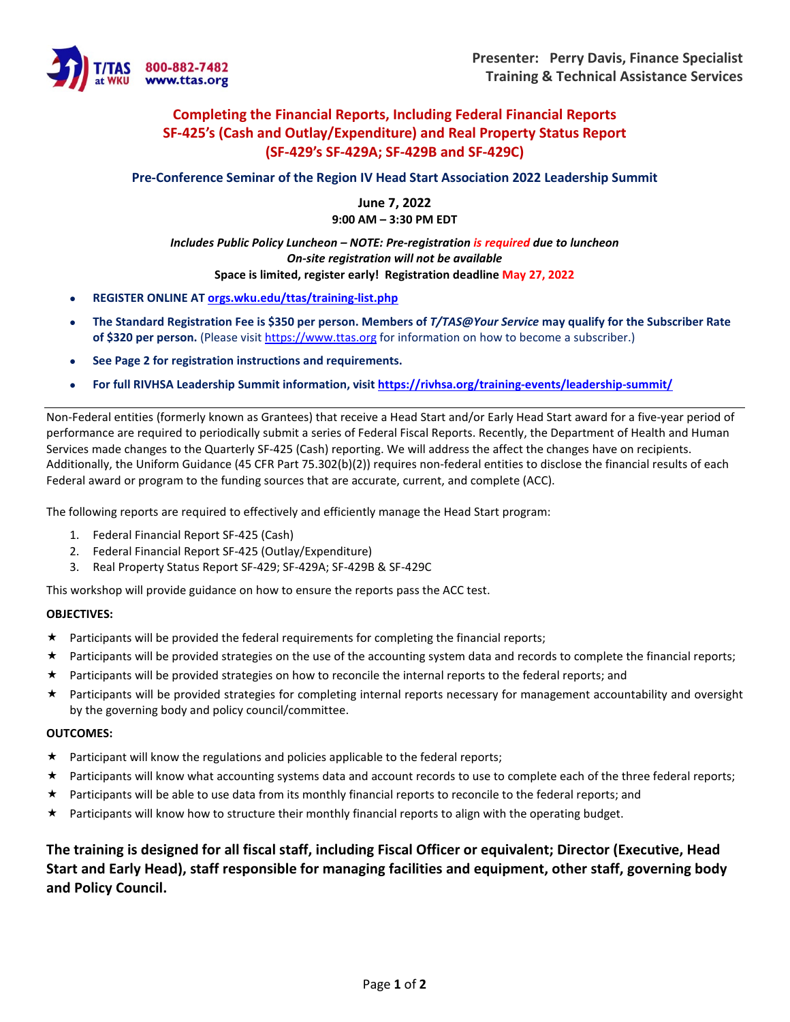

## **Completing the Financial Reports, Including Federal Financial Reports SF-425's (Cash and Outlay/Expenditure) and Real Property Status Report (SF-429's SF-429A; SF-429B and SF-429C)**

**Pre-Conference Seminar of the Region IV Head Start Association 2022 Leadership Summit**

**June 7, 2022 9:00 AM – 3:30 PM EDT**

### *Includes Public Policy Luncheon – NOTE: Pre-registration is required due to luncheon On-site registration will not be available* **Space is limited, register early! Registration deadline May 27, 2022**

- **REGISTER ONLINE AT [orgs.wku.edu/ttas/training-list.php](https://orgs.wku.edu/ttas/training-list.php)**
- **The Standard Registration Fee is \$350 per person. Members of** *T/TAS@Your Service* **may qualify for the Subscriber Rate of \$320 per person.** (Please visi[t https://www.ttas.org](https://www.ttas.org/) for information on how to become a subscriber.)
- **See Page 2 for registration instructions and requirements.**
- **For full RIVHSA Leadership Summit information, visit<https://rivhsa.org/training-events/leadership-summit/>**

Non-Federal entities (formerly known as Grantees) that receive a Head Start and/or Early Head Start award for a five-year period of performance are required to periodically submit a series of Federal Fiscal Reports. Recently, the Department of Health and Human Services made changes to the Quarterly SF-425 (Cash) reporting. We will address the affect the changes have on recipients. Additionally, the Uniform Guidance (45 CFR Part 75.302(b)(2)) requires non-federal entities to disclose the financial results of each Federal award or program to the funding sources that are accurate, current, and complete (ACC).

The following reports are required to effectively and efficiently manage the Head Start program:

- 1. Federal Financial Report SF-425 (Cash)
- 2. Federal Financial Report SF-425 (Outlay/Expenditure)
- 3. Real Property Status Report SF-429; SF-429A; SF-429B & SF-429C

This workshop will provide guidance on how to ensure the reports pass the ACC test.

#### **OBJECTIVES:**

- $\star$  Participants will be provided the federal requirements for completing the financial reports;
- Participants will be provided strategies on the use of the accounting system data and records to complete the financial reports;
- $\star$  Participants will be provided strategies on how to reconcile the internal reports to the federal reports; and
- Participants will be provided strategies for completing internal reports necessary for management accountability and oversight by the governing body and policy council/committee.

#### **OUTCOMES:**

- $\star$  Participant will know the regulations and policies applicable to the federal reports;
- Participants will know what accounting systems data and account records to use to complete each of the three federal reports;
- \* Participants will be able to use data from its monthly financial reports to reconcile to the federal reports; and
- $\star$  Participants will know how to structure their monthly financial reports to align with the operating budget.

**The training is designed for all fiscal staff, including Fiscal Officer or equivalent; Director (Executive, Head Start and Early Head), staff responsible for managing facilities and equipment, other staff, governing body and Policy Council.**